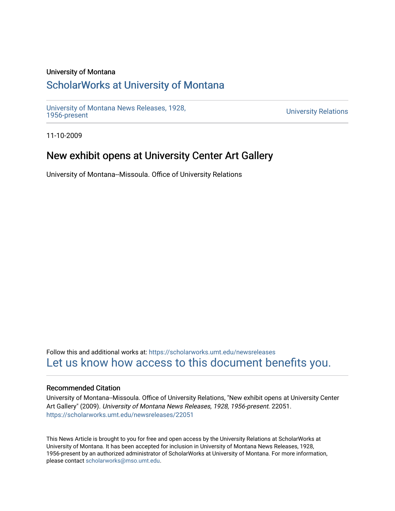### University of Montana

## [ScholarWorks at University of Montana](https://scholarworks.umt.edu/)

[University of Montana News Releases, 1928,](https://scholarworks.umt.edu/newsreleases) 

**University Relations** 

11-10-2009

# New exhibit opens at University Center Art Gallery

University of Montana--Missoula. Office of University Relations

Follow this and additional works at: [https://scholarworks.umt.edu/newsreleases](https://scholarworks.umt.edu/newsreleases?utm_source=scholarworks.umt.edu%2Fnewsreleases%2F22051&utm_medium=PDF&utm_campaign=PDFCoverPages) [Let us know how access to this document benefits you.](https://goo.gl/forms/s2rGfXOLzz71qgsB2) 

#### Recommended Citation

University of Montana--Missoula. Office of University Relations, "New exhibit opens at University Center Art Gallery" (2009). University of Montana News Releases, 1928, 1956-present. 22051. [https://scholarworks.umt.edu/newsreleases/22051](https://scholarworks.umt.edu/newsreleases/22051?utm_source=scholarworks.umt.edu%2Fnewsreleases%2F22051&utm_medium=PDF&utm_campaign=PDFCoverPages) 

This News Article is brought to you for free and open access by the University Relations at ScholarWorks at University of Montana. It has been accepted for inclusion in University of Montana News Releases, 1928, 1956-present by an authorized administrator of ScholarWorks at University of Montana. For more information, please contact [scholarworks@mso.umt.edu.](mailto:scholarworks@mso.umt.edu)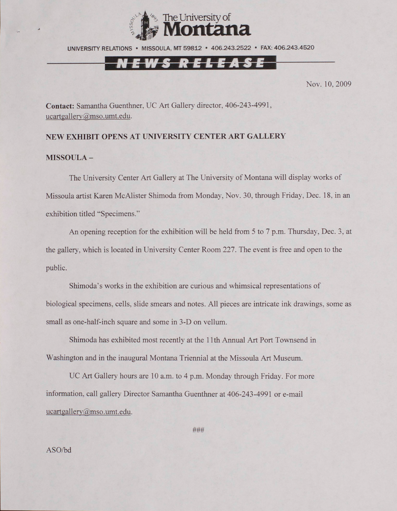

UNIVERSITY RELATIONS • MISSOULA, MT 59812 • 406.243.2522 • FAX: 406.243.4520

## EWS RELEASE

Nov. 10, 2009

**Contact:** Samantha Guenthner, UC Art Gallery director, 406-243-4991, [ucartgallerv@mso.umt.edu.](mailto:ucartgallerv@mso.umt.edu)

#### **NEW EXHIBIT OPENS AT UNIVERSITY CENTER ART GALLERY**

#### **MISSOULA -**

The University Center Art Gallery at The University of Montana will display works of Missoula artist Karen McAlister Shimoda from Monday, Nov. 30, through Friday, Dec. 18, in an exhibition titled "Specimens."

An opening reception for the exhibition will be held from 5 to 7 p.m. Thursday. Dec. 3, at the gallery, which is located in University Center Room 227. The event is free and open to the public.

Shimoda's works in the exhibition are curious and whimsical representations of biological specimens, cells, slide smears and notes. All pieces are intricate ink drawings, some as small as one-half-inch square and some in 3-D on vellum.

Shimoda has exhibited most recently at the 11th Annual Art Port Townsend in Washington and in the inaugural Montana Triennial at the Missoula Art Museum.

UC Art Gallery hours are 10 a.m. to 4 p.m. Monday through Friday. For more information, call gallery Director Samantha Guenthner at 406-243-4991 or e-mail  $ucartgallow@mso.umt.edu.$ 

**###**

ASO/bd